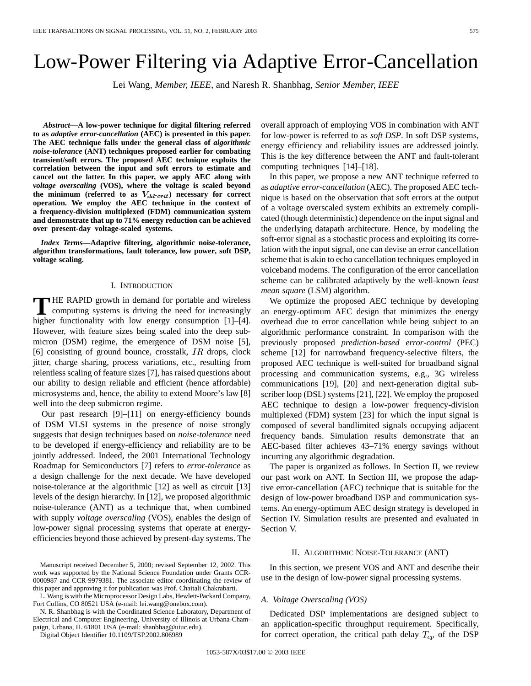# Low-Power Filtering via Adaptive Error-Cancellation

Lei Wang*, Member, IEEE,* and Naresh R. Shanbhag*, Senior Member, IEEE*

*Abstract—***A low-power technique for digital filtering referred to as** *adaptive error-cancellation* **(AEC) is presented in this paper. The AEC technique falls under the general class of** *algorithmic noise-tolerance* **(ANT) techniques proposed earlier for combating transient/soft errors. The proposed AEC technique exploits the correlation between the input and soft errors to estimate and cancel out the latter. In this paper, we apply AEC along with** *voltage overscaling* **(VOS), where the voltage is scaled beyond** the minimum (referred to as  $V_{dd-crit}$ ) necessary for correct **operation. We employ the AEC technique in the context of a frequency-division multiplexed (FDM) communication system and demonstrate that up to 71% energy reduction can be achieved over present-day voltage-scaled systems.**

*Index Terms—***Adaptive filtering, algorithmic noise-tolerance, algorithm transformations, fault tolerance, low power, soft DSP, voltage scaling.**

# I. INTRODUCTION

**T** HE RAPID growth in demand for portable and wireless<br>computing systems is driving the need for increasingly<br>higher functionality with low approximation [1] [4] higher functionality with low energy consumption [1]–[4]. However, with feature sizes being scaled into the deep submicron (DSM) regime, the emergence of DSM noise [5], [6] consisting of ground bounce, crosstalk,  $IR$  drops, clock jitter, charge sharing, process variations, etc., resulting from relentless scaling of feature sizes [7], has raised questions about our ability to design reliable and efficient (hence affordable) microsystems and, hence, the ability to extend Moore's law [8] well into the deep submicron regime.

Our past research [9]–[11] on energy-efficiency bounds of DSM VLSI systems in the presence of noise strongly suggests that design techniques based on *noise-tolerance* need to be developed if energy-efficiency and reliability are to be jointly addressed. Indeed, the 2001 International Technology Roadmap for Semiconductors [7] refers to *error-tolerance* as a design challenge for the next decade. We have developed noise-tolerance at the algorithmic [12] as well as circuit [13] levels of the design hierarchy. In [12], we proposed algorithmic noise-tolerance (ANT) as a technique that, when combined with supply *voltage overscaling* (VOS), enables the design of low-power signal processing systems that operate at energyefficiencies beyond those achieved by present-day systems. The

L. Wang is with the Microprocessor Design Labs, Hewlett-Packard Company, Fort Collins, CO 80521 USA (e-mail: lei.wang@onebox.com).

N. R. Shanbhag is with the Coordinated Science Laboratory, Department of Electrical and Computer Engineering, University of Illinois at Urbana-Champaign, Urbana, IL 61801 USA (e-mail: shanbhag@uiuc.edu).

Digital Object Identifier 10.1109/TSP.2002.806989

overall approach of employing VOS in combination with ANT for low-power is referred to as *soft DSP*. In soft DSP systems, energy efficiency and reliability issues are addressed jointly. This is the key difference between the ANT and fault-tolerant computing techniques [14]–[18].

In this paper, we propose a new ANT technique referred to as *adaptive error-cancellation* (AEC). The proposed AEC technique is based on the observation that soft errors at the output of a voltage overscaled system exhibits an extremely complicated (though deterministic) dependence on the input signal and the underlying datapath architecture. Hence, by modeling the soft-error signal as a stochastic process and exploiting its correlation with the input signal, one can devise an error cancellation scheme that is akin to echo cancellation techniques employed in voiceband modems. The configuration of the error cancellation scheme can be calibrated adaptively by the well-known *least mean square* (LSM) algorithm.

We optimize the proposed AEC technique by developing an energy-optimum AEC design that minimizes the energy overhead due to error cancellation while being subject to an algorithmic performance constraint. In comparison with the previously proposed *prediction-based error-control* (PEC) scheme [12] for narrowband frequency-selective filters, the proposed AEC technique is well-suited for broadband signal processing and communication systems, e.g., 3G wireless communications [19], [20] and next-generation digital subscriber loop (DSL) systems [21], [22]. We employ the proposed AEC technique to design a low-power frequency-division multiplexed (FDM) system [23] for which the input signal is composed of several bandlimited signals occupying adjacent frequency bands. Simulation results demonstrate that an AEC-based filter achieves 43–71% energy savings without incurring any algorithmic degradation.

The paper is organized as follows. In Section II, we review our past work on ANT. In Section III, we propose the adaptive error-cancellation (AEC) technique that is suitable for the design of low-power broadband DSP and communication systems. An energy-optimum AEC design strategy is developed in Section IV. Simulation results are presented and evaluated in Section V.

## II. ALGORITHMIC NOISE-TOLERANCE (ANT)

In this section, we present VOS and ANT and describe their use in the design of low-power signal processing systems.

## *A. Voltage Overscaling (VOS)*

Dedicated DSP implementations are designed subject to an application-specific throughput requirement. Specifically, for correct operation, the critical path delay  $T_{cp}$  of the DSP

Manuscript received December 5, 2000; revised September 12, 2002. This work was supported by the National Science Foundation under Grants CCR-0000987 and CCR-9979381. The associate editor coordinating the review of this paper and approving it for publication was Prof. Chaitali Chakrabarti.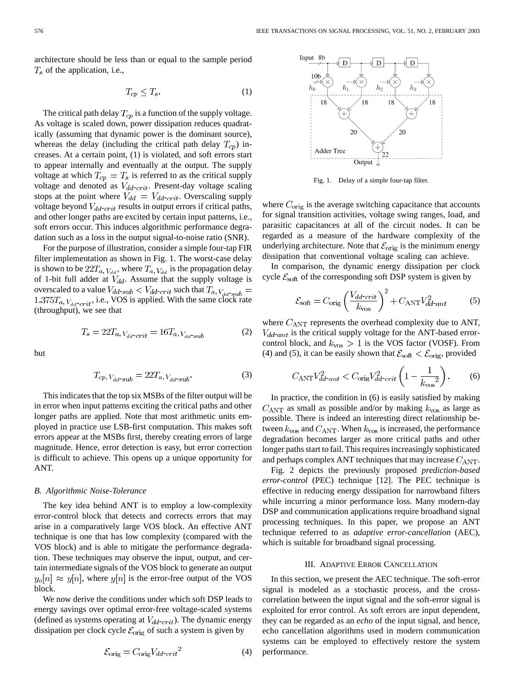architecture should be less than or equal to the sample period  $T<sub>s</sub>$  of the application, i.e.,

$$
T_{cp} \le T_s. \tag{1}
$$

The critical path delay  $T_{cp}$  is a function of the supply voltage. As voltage is scaled down, power dissipation reduces quadratically (assuming that dynamic power is the dominant source), whereas the delay (including the critical path delay  $T_{cp}$ ) increases. At a certain point, (1) is violated, and soft errors start to appear internally and eventually at the output. The supply voltage at which  $T_{cp} = T_s$  is referred to as the critical supply voltage and denoted as  $V_{dd-crit}$ . Present-day voltage scaling stops at the point where  $V_{dd} = V_{dd-crit}$ . Overscaling supply voltage beyond  $V_{dd-crit}$  results in output errors if critical paths, and other longer paths are excited by certain input patterns, i.e., soft errors occur. This induces algorithmic performance degradation such as a loss in the output signal-to-noise ratio (SNR).

For the purpose of illustration, consider a simple four-tap FIR filter implementation as shown in Fig. 1. The worst-case delay is shown to be  $22T_{a, V_{dd}}$ , where  $T_{a, V_{dd}}$  is the propagation delay of 1-bit full adder at  $V_{dd}$ . Assume that the supply voltage is overscaled to a value  $V_{dd-sub} < V_{dd-crit}$  such that  $T_{a, V_{dd-sub}} =$  $1.375T_{a, V_{dd-crit}}$ , i.e., VOS is applied. With the same clock rate (throughput), we see that

$$
T_s = 22T_{a,V_{dd}\text{-}crit} = 16T_{a,V_{dd}\text{-}sub}
$$
 (2)

but

$$
T_{cp, V_{dd}\text{-}sub} = 22T_{a, V_{dd}\text{-}sub}.
$$

This indicates that the top six MSBs of the filter output will be in error when input patterns exciting the critical paths and other longer paths are applied. Note that most arithmetic units employed in practice use LSB-first computation. This makes soft errors appear at the MSBs first, thereby creating errors of large magnitude. Hence, error detection is easy, but error correction is difficult to achieve. This opens up a unique opportunity for ANT.

## *B. Algorithmic Noise-Tolerance*

The key idea behind ANT is to employ a low-complexity error-control block that detects and corrects errors that may arise in a comparatively large VOS block. An effective ANT technique is one that has low complexity (compared with the VOS block) and is able to mitigate the performance degradation. These techniques may observe the input, output, and certain intermediate signals of the VOS block to generate an output  $y_o[n] \approx y[n]$ , where  $y[n]$  is the error-free output of the VOS block.

We now derive the conditions under which soft DSP leads to energy savings over optimal error-free voltage-scaled systems (defined as systems operating at  $V_{dd-crit}$ ). The dynamic energy dissipation per clock cycle  $\mathcal{E}_{\text{orig}}$  of such a system is given by

$$
\mathcal{E}_{\text{orig}} = C_{\text{orig}} V_{dd\text{-}crit}^2 \tag{4}
$$



Fig. 1. Delay of a simple four-tap filter.

where  $C_{\text{orig}}$  is the average switching capacitance that accounts for signal transition activities, voltage swing ranges, load, and parasitic capacitances at all of the circuit nodes. It can be regarded as a measure of the hardware complexity of the underlying architecture. Note that  $\mathcal{E}_{\text{orig}}$  is the minimum energy dissipation that conventional voltage scaling can achieve.

In comparison, the dynamic energy dissipation per clock cycle  $\mathcal{E}_{\text{soft}}$  of the corresponding soft DSP system is given by

$$
\mathcal{E}_{\text{soft}} = C_{\text{orig}} \left( \frac{V_{dd\text{-}crit}}{k_{\text{vos}}} \right)^2 + C_{\text{ANT}} V_{dd\text{-}ant}^2 \tag{5}
$$

where  $C_{\text{ANT}}$  represents the overhead complexity due to ANT,  $V_{dd-ant}$  is the critical supply voltage for the ANT-based errorcontrol block, and  $k_{\text{vos}} > 1$  is the VOS factor (VOSF). From (4) and (5), it can be easily shown that  $\mathcal{E}_{\text{soft}} < \mathcal{E}_{\text{orig}}$ , provided

$$
C_{\text{ANT}}V_{dd-ant}^2 < C_{\text{orig}}V_{dd-crit}^2 \left(1 - \frac{1}{k_{\text{vos}}^2}\right). \tag{6}
$$

In practice, the condition in (6) is easily satisfied by making  $C_{\text{ANT}}$  as small as possible and/or by making  $k_{\text{vos}}$  as large as possible. There is indeed an interesting direct relationship between  $k_{\text{vos}}$  and  $C_{\text{ANT}}$ . When  $k_{\text{vos}}$  is increased, the performance degradation becomes larger as more critical paths and other longer paths start to fail. This requires increasingly sophisticated and perhaps complex ANT techniques that may increase  $C_{\text{ANT}}$ .

Fig. 2 depicts the previously proposed *prediction-based error-control* (PEC) technique [12]. The PEC technique is effective in reducing energy dissipation for narrowband filters while incurring a minor performance loss. Many modern-day DSP and communication applications require broadband signal processing techniques. In this paper, we propose an ANT technique referred to as *adaptive error-cancellation* (AEC), which is suitable for broadband signal processing.

## III. ADAPTIVE ERROR CANCELLATION

In this section, we present the AEC technique. The soft-error signal is modeled as a stochastic process, and the crosscorrelation between the input signal and the soft-error signal is exploited for error control. As soft errors are input dependent, they can be regarded as an *echo* of the input signal, and hence, echo cancellation algorithms used in modern communication systems can be employed to effectively restore the system performance.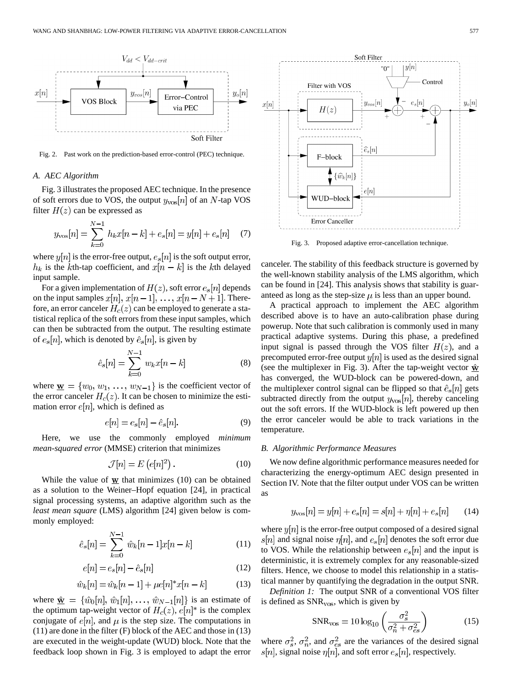

Fig. 2. Past work on the prediction-based error-control (PEC) technique.

# *A. AEC Algorithm*

Fig. 3 illustrates the proposed AEC technique. In the presence of soft errors due to VOS, the output  $y_{\text{vos}}[n]$  of an N-tap VOS filter  $H(z)$  can be expressed as

$$
y_{\text{vos}}[n] = \sum_{k=0}^{N-1} h_k x[n-k] + e_s[n] = y[n] + e_s[n] \quad (7)
$$

where  $y[n]$  is the error-free output,  $e_s[n]$  is the soft output error,  $h_k$  is the kth-tap coefficient, and  $x[n - k]$  is the kth delayed input sample.

For a given implementation of  $H(z)$ , soft error  $e_s[n]$  depends on the input samples  $x[n], x[n-1], \ldots, x[n-N+1]$ . Therefore, an error canceler  $H_c(z)$  can be employed to generate a statistical replica of the soft errors from these input samples, which can then be subtracted from the output. The resulting estimate of  $e_s[n]$ , which is denoted by  $\hat{e}_s[n]$ , is given by

$$
\hat{e}_s[n] = \sum_{k=0}^{N-1} w_k x[n-k]
$$
 (8)

where  $\mathbf{w} = \{w_0, w_1, \dots, w_{N-1}\}\$ is the coefficient vector of the error canceler  $H_c(z)$ . It can be chosen to minimize the estimation error  $e[n]$ , which is defined as

$$
e[n] = e_s[n] - \hat{e}_s[n].\tag{9}
$$

Here, we use the commonly employed *minimum mean-squared error* (MMSE) criterion that minimizes

$$
\mathcal{J}[n] = E\left(e[n]^2\right). \tag{10}
$$

While the value of  $w$  that minimizes (10) can be obtained as a solution to the Weiner–Hopf equation [24], in practical signal processing systems, an adaptive algorithm such as the *least mean square* (LMS) algorithm [24] given below is commonly employed:

$$
\hat{e}_s[n] = \sum_{k=0}^{N-1} \hat{w}_k[n-1]x[n-k]
$$
\n(11)

$$
e[n] = e_s[n] - \hat{e}_s[n] \tag{12}
$$

$$
\hat{w}_k[n] = \hat{w}_k[n-1] + \mu e[n]^*x[n-k]
$$
 (13)

where  $\hat{\mathbf{w}} = {\hat{w}_0[n], \hat{w}_1[n], \dots, \hat{w}_{N-1}[n]}$  is an estimate of the optimum tap-weight vector of  $H_c(z)$ ,  $e[n]^*$  is the complex conjugate of  $e[n]$ , and  $\mu$  is the step size. The computations in (11) are done in the filter (F) block of the AEC and those in (13) are executed in the weight-update (WUD) block. Note that the feedback loop shown in Fig. 3 is employed to adapt the error



Fig. 3. Proposed adaptive error-cancellation technique.

canceler. The stability of this feedback structure is governed by the well-known stability analysis of the LMS algorithm, which can be found in [24]. This analysis shows that stability is guaranteed as long as the step-size  $\mu$  is less than an upper bound.

A practical approach to implement the AEC algorithm described above is to have an auto-calibration phase during powerup. Note that such calibration is commonly used in many practical adaptive systems. During this phase, a predefined input signal is passed through the VOS filter  $H(z)$ , and a precomputed error-free output  $y[n]$  is used as the desired signal (see the multiplexer in Fig. 3). After the tap-weight vector  $\hat{\mathbf{w}}$ has converged, the WUD-block can be powered-down, and the multiplexer control signal can be flipped so that  $\hat{e}_s[n]$  gets subtracted directly from the output  $y_{\text{vos}}[n]$ , thereby canceling out the soft errors. If the WUD-block is left powered up then the error canceler would be able to track variations in the temperature.

## *B. Algorithmic Performance Measures*

We now define algorithmic performance measures needed for characterizing the energy-optimum AEC design presented in Section IV. Note that the filter output under VOS can be written as

$$
y_{\text{vos}}[n] = y[n] + e_s[n] = s[n] + \eta[n] + e_s[n] \tag{14}
$$

where  $y[n]$  is the error-free output composed of a desired signal  $s[n]$  and signal noise  $\eta[n]$ , and  $e_s[n]$  denotes the soft error due to VOS. While the relationship between  $e_s[n]$  and the input is deterministic, it is extremely complex for any reasonable-sized filters. Hence, we choose to model this relationship in a statistical manner by quantifying the degradation in the output SNR.

*Definition 1:* The output SNR of a conventional VOS filter is defined as SNR<sub>vos</sub>, which is given by

$$
SNR_{\text{vos}} = 10\log_{10}\left(\frac{\sigma_s^2}{\sigma_n^2 + \sigma_{es}^2}\right) \tag{15}
$$

where  $\sigma_s^2$ ,  $\sigma_n^2$ , and  $\sigma_{es}^2$  are the variances of the desired signal  $s[n]$ , signal noise  $\eta[n]$ , and soft error  $e_s[n]$ , respectively.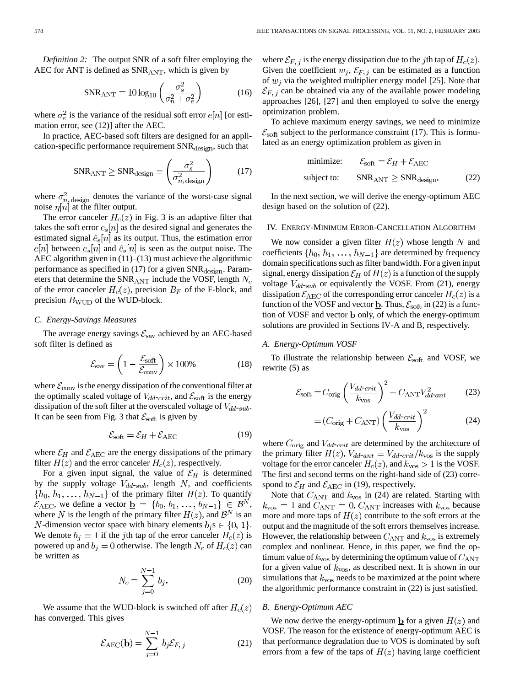*Definition 2:* The output SNR of a soft filter employing the AEC for ANT is defined as  $SNR<sub>ANT</sub>$ , which is given by

$$
SNR_{\text{ANT}} = 10\log_{10}\left(\frac{\sigma_s^2}{\sigma_n^2 + \sigma_e^2}\right) \tag{16}
$$

where  $\sigma_e^2$  is the variance of the residual soft error  $e[n]$  [or estimation error, see (12)] after the AEC.

In practice, AEC-based soft filters are designed for an application-specific performance requirement  $SNR_{\text{design}}$ , such that

$$
SNR_{\text{ANT}} \geq SNR_{\text{design}} = \left(\frac{\sigma_s^2}{\sigma_{n,\text{design}}^2}\right) \tag{17}
$$

where  $\sigma_{n,\text{design}}^2$  denotes the variance of the worst-case signal noise  $\eta[n]$  at the filter output.

The error canceler  $H_c(z)$  in Fig. 3 is an adaptive filter that takes the soft error  $e_s[n]$  as the desired signal and generates the estimated signal  $\hat{e}_s[n]$  as its output. Thus, the estimation error  $e[n]$  between  $e_s[n]$  and  $\hat{e}_s[n]$  is seen as the output noise. The AEC algorithm given in (11)–(13) must achieve the algorithmic performance as specified in (17) for a given  $SNR_{\text{design}}$ . Parameters that determine the SNR<sub>ANT</sub> include the VOSF, length  $N_c$ of the error canceler  $H_c(z)$ , precision  $B_F$  of the F-block, and precision  $B_{\text{WUD}}$  of the WUD-block.

## *C. Energy-Savings Measures*

The average energy savings  $\mathcal{E}_{\text{sav}}$  achieved by an AEC-based soft filter is defined as

$$
\mathcal{E}_{\text{sav}} = \left(1 - \frac{\mathcal{E}_{\text{soft}}}{\mathcal{E}_{\text{conv}}}\right) \times 100\% \tag{18}
$$

where  $\mathcal{E}_{\text{conv}}$  is the energy dissipation of the conventional filter at the optimally scaled voltage of  $V_{dd-crit}$ , and  $\mathcal{E}_{soft}$  is the energy dissipation of the soft filter at the overscaled voltage of  $V_{dd-sub}$ . It can be seen from Fig. 3 that  $\mathcal{E}_{\text{soft}}$  is given by

$$
\mathcal{E}_{\text{soft}} = \mathcal{E}_H + \mathcal{E}_{\text{AEC}} \tag{19}
$$

where  $\mathcal{E}_H$  and  $\mathcal{E}_{\text{AEC}}$  are the energy dissipations of the primary filter  $H(z)$  and the error canceler  $H<sub>c</sub>(z)$ , respectively.

For a given input signal, the value of  $\mathcal{E}_H$  is determined by the supply voltage  $V_{dd-sub}$ , length  $N$ , and coefficients  $\{h_0, h_1, \ldots, h_{N-1}\}\$  of the primary filter  $H(z)$ . To quantify  $\mathcal{E}_{\text{AEC}}$ , we define a vector  $\underline{\mathbf{b}} = \{b_0, b_1, \ldots, b_{N-1}\} \in \mathcal{B}^N$ , where N is the length of the primary filter  $H(z)$ , and  $\mathcal{B}^N$  is an *N*-dimension vector space with binary elements  $b_i$  s  $\in \{0, 1\}$ . We denote  $b_i = 1$  if the jth tap of the error canceler  $H_c(z)$  is powered up and  $b_j = 0$  otherwise. The length  $N_c$  of  $H_c(z)$  can be written as

$$
N_c = \sum_{j=0}^{N-1} b_j.
$$
 (20)

We assume that the WUD-block is switched off after  $H_c(z)$ has converged. This gives

$$
\mathcal{E}_{\text{AEC}}(\underline{\mathbf{b}}) = \sum_{j=0}^{N-1} b_j \mathcal{E}_{F,j} \tag{21}
$$

where  $\mathcal{E}_{F, j}$  is the energy dissipation due to the jth tap of  $H_c(z)$ . Given the coefficient  $w_j$ ,  $\mathcal{E}_{F,j}$  can be estimated as a function of  $w_i$  via the weighted multiplier energy model [25]. Note that  $\mathcal{E}_{F, i}$  can be obtained via any of the available power modeling approaches [26], [27] and then employed to solve the energy optimization problem.

To achieve maximum energy savings, we need to minimize  $\mathcal{E}_{\text{soft}}$  subject to the performance constraint (17). This is formulated as an energy optimization problem as given in

$$
\text{minimize:} \qquad \mathcal{E}_{\text{soft}} = \mathcal{E}_H + \mathcal{E}_{\text{AEC}}
$$
\n
$$
\text{subject to:} \qquad \text{SNR}_{\text{ANT}} \geq \text{SNR}_{\text{design}}.\tag{22}
$$

In the next section, we will derive the energy-optimum AEC design based on the solution of (22).

### IV. ENERGY-MINIMUM ERROR-CANCELLATION ALGORITHM

We now consider a given filter  $H(z)$  whose length N and coefficients  $\{h_0, h_1, \ldots, h_{N-1}\}\$  are determined by frequency domain specifications such as filter bandwidth. For a given input signal, energy dissipation  $\mathcal{E}_H$  of  $H(z)$  is a function of the supply voltage  $V_{dd-sub}$  or equivalently the VOSF. From (21), energy dissipation  $\mathcal{E}_{\text{AEC}}$  of the corresponding error canceler  $H_c(z)$  is a function of the VOSF and vector  $\underline{\mathbf{b}}$ . Thus,  $\mathcal{E}_{\text{soft}}$  in (22) is a function of VOSF and vector  $\underline{b}$  only, of which the energy-optimum solutions are provided in Sections IV-A and B, respectively.

#### *A. Energy-Optimum VOSF*

To illustrate the relationship between  $\mathcal{E}_{\text{soft}}$  and VOSF, we rewrite (5) as

$$
\mathcal{E}_{\text{soft}} = C_{\text{orig}} \left( \frac{V_{dd\text{-}crit}}{k_{\text{vos}}} \right)^2 + C_{\text{ANT}} V_{dd\text{-}ant}^2 \tag{23}
$$

$$
= (C_{\text{orig}} + C_{\text{ANT}}) \left(\frac{V_{dd\text{-}crit}}{k_{\text{vos}}}\right)^2 \tag{24}
$$

where  $C_{\text{orig}}$  and  $V_{dd-crit}$  are determined by the architecture of the primary filter  $H(z)$ ,  $V_{dd-ant} = V_{dd-crit}/k_{\text{vos}}$  is the supply voltage for the error canceler  $H_c(z)$ , and  $k_{\text{vos}} > 1$  is the VOSF. The first and second terms on the right-hand side of (23) correspond to  $\mathcal{E}_H$  and  $\mathcal{E}_{\text{AEC}}$  in (19), respectively.

Note that  $C_{\text{ANT}}$  and  $k_{\text{vos}}$  in (24) are related. Starting with  $k_{\text{vos}} = 1$  and  $C_{\text{ANT}} = 0$ ,  $C_{\text{ANT}}$  increases with  $k_{\text{vos}}$  because more and more taps of  $H(z)$  contribute to the soft errors at the output and the magnitude of the soft errors themselves increase. However, the relationship between  $C_{\text{ANT}}$  and  $k_{\text{vos}}$  is extremely complex and nonlinear. Hence, in this paper, we find the optimum value of  $k_{\text{vos}}$  by determining the optimum value of  $C_{\text{ANT}}$ for a given value of  $k_{\text{vos}}$ , as described next. It is shown in our simulations that  $k_{\text{vos}}$  needs to be maximized at the point where the algorithmic performance constraint in (22) is just satisfied.

#### *B. Energy-Optimum AEC*

We now derive the energy-optimum  $\underline{\mathbf{b}}$  for a given  $H(z)$  and VOSF. The reason for the existence of energy-optimum AEC is that performance degradation due to VOS is dominated by soft errors from a few of the taps of  $H(z)$  having large coefficient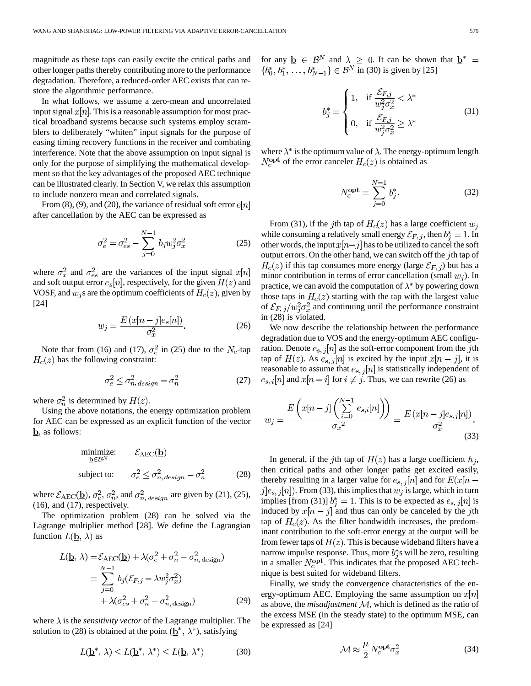magnitude as these taps can easily excite the critical paths and other longer paths thereby contributing more to the performance degradation. Therefore, a reduced-order AEC exists that can restore the algorithmic performance.

In what follows, we assume a zero-mean and uncorrelated input signal  $x[n]$ . This is a reasonable assumption for most practical broadband systems because such systems employ scramblers to deliberately "whiten" input signals for the purpose of easing timing recovery functions in the receiver and combating interference. Note that the above assumption on input signal is only for the purpose of simplifying the mathematical development so that the key advantages of the proposed AEC technique can be illustrated clearly. In Section V, we relax this assumption to include nonzero mean and correlated signals.

From (8), (9), and (20), the variance of residual soft error  $e[n]$ after cancellation by the AEC can be expressed as

$$
\sigma_e^2 = \sigma_{es}^2 - \sum_{j=0}^{N-1} b_j w_j^2 \sigma_x^2
$$
 (25)

where  $\sigma_x^2$  and  $\sigma_{es}^2$  are the variances of the input signal  $x[n]$ and soft output error  $e_s[n]$ , respectively, for the given  $H(z)$  and VOSF, and  $w_i$ s are the optimum coefficients of  $H_c(z)$ , given by [24]

$$
w_j = \frac{E\left(x[n-j]e_s[n]\right)}{\sigma_x^2}.\tag{26}
$$

Note that from (16) and (17),  $\sigma_e^2$  in (25) due to the  $N_c$ -tap  $H_c(z)$  has the following constraint:

$$
\sigma_e^2 \le \sigma_{n, \text{design}}^2 - \sigma_n^2 \tag{27}
$$

where  $\sigma_n^2$  is determined by  $H(z)$ .

Using the above notations, the energy optimization problem for AEC can be expressed as an explicit function of the vector  $\underline{\mathbf{b}}$ , as follows:

minimize: 
$$
\mathcal{E}_{\text{AEC}}(\underline{\mathbf{b}})
$$
  
subject to:  $\sigma_e^2 \leq \sigma_{n, design}^2 - \sigma_n^2$  (28)

where  $\mathcal{E}_{\text{AEC}}(\underline{\mathbf{b}}), \sigma_e^2, \sigma_n^2$ , and  $\sigma_{n, design}^2$  are given by (21), (25), (16), and (17), respectively.

The optimization problem (28) can be solved via the Lagrange multiplier method [28]. We define the Lagrangian function  $L(\underline{\mathbf{b}}, \lambda)$  as

$$
L(\underline{\mathbf{b}}, \lambda) = \mathcal{E}_{\text{AEC}}(\underline{\mathbf{b}}) + \lambda (\sigma_e^2 + \sigma_n^2 - \sigma_{n,\text{design}}^2)
$$
  
= 
$$
\sum_{j=0}^{N-1} b_j (\mathcal{E}_{F,j} - \lambda w_j^2 \sigma_x^2)
$$
  
+ 
$$
\lambda (\sigma_{es}^2 + \sigma_n^2 - \sigma_{n,\text{design}}^2)
$$
 (29)

where  $\lambda$  is the *sensitivity vector* of the Lagrange multiplier. The solution to (28) is obtained at the point  $(\underline{b}^*, \lambda^*)$ , satisfying

$$
L(\mathbf{b}^*, \lambda) \le L(\mathbf{b}^*, \lambda^*) \le L(\mathbf{b}, \lambda^*) \tag{30}
$$

for any  $\underline{\mathbf{b}} \in \mathcal{B}^{N}$  and  $\lambda \geq 0$ . It can be shown that in (30) is given by [25]

$$
b_j^* = \begin{cases} 1, & \text{if } \frac{\mathcal{E}_{F,j}}{w_j^2 \sigma_x^2} < \lambda^* \\ 0, & \text{if } \frac{\mathcal{E}_{F,j}}{w_j^2 \sigma_x^2} \ge \lambda^* \end{cases}
$$
(31)

where  $\lambda^*$  is the optimum value of  $\lambda$ . The energy-optimum length  $N_c^{\text{opt}}$  of the error canceler  $H_c(z)$  is obtained as

$$
N_c^{\text{opt}} = \sum_{j=0}^{N-1} b_j^*.
$$
 (32)

From (31), if the jth tap of  $H_c(z)$  has a large coefficient  $w_i$ while consuming a relatively small energy  $\mathcal{E}_{F, i}$ , then  $b_i^* = 1$ . In other words, the input  $x[n-j]$  has to be utilized to cancel the soft output errors. On the other hand, we can switch off the  $j$ th tap of  $H_c(z)$  if this tap consumes more energy (large  $\mathcal{E}_{F, i}$ ) but has a minor contribution in terms of error cancellation (small  $w_j$ ). In practice, we can avoid the computation of  $\lambda^*$  by powering down those taps in  $H_c(z)$  starting with the tap with the largest value of  $\mathcal{E}_{F, j}/w_i^2 \sigma_x^2$  and continuing until the performance constraint in (28) is violated.

We now describe the relationship between the performance degradation due to VOS and the energy-optimum AEC configuration. Denote  $e_{s,j}[n]$  as the soft-error component from the jth tap of  $H(z)$ . As  $e_{s,j}[n]$  is excited by the input  $x[n-j]$ , it is reasonable to assume that  $e_{s,j}[n]$  is statistically independent of  $e_{s,i}[n]$  and  $x[n-i]$  for  $i \neq j$ . Thus, we can rewrite (26) as

$$
w_j = \frac{E\left(x[n-j]\left(\sum_{i=0}^{N-1} e_{s,i}[n]\right)\right)}{\sigma_x^2} = \frac{E\left(x[n-j]e_{s,j}[n]\right)}{\sigma_x^2}.
$$
\n(33)

In general, if the j<sup>th</sup> tap of  $H(z)$  has a large coefficient  $h_i$ , then critical paths and other longer paths get excited easily, thereby resulting in a larger value for  $e_{s,j}[n]$  and for  $E(x[n - 1])$  $j|e_{s,j}[n]$ . From (33), this implies that  $w_j$  is large, which in turn implies [from (31)]  $b_i^* = 1$ . This is to be expected as  $e_{s,i}[n]$  is induced by  $x[n - j]$  and thus can only be canceled by the jth tap of  $H_c(z)$ . As the filter bandwidth increases, the predominant contribution to the soft-error energy at the output will be from fewer taps of  $H(z)$ . This is because wideband filters have a narrow impulse response. Thus, more  $b_i^*$ s will be zero, resulting in a smaller  $N_c^{\text{opt}}$ . This indicates that the proposed AEC technique is best suited for wideband filters.

Finally, we study the convergence characteristics of the energy-optimum AEC. Employing the same assumption on  $x[n]$ as above, the *misadjustment* M, which is defined as the ratio of the excess MSE (in the steady state) to the optimum MSE, can be expressed as [24]

$$
\mathcal{M} \approx \frac{\mu}{2} N_c^{\text{opt}} \sigma_x^2 \tag{34}
$$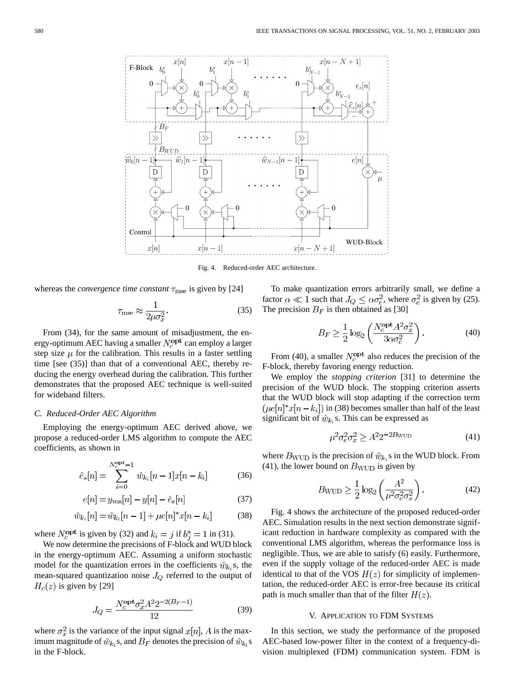

Fig. 4. Reduced-order AEC architecture.

whereas the *convergence time constant*  $\tau_{\text{mse}}$  is given by [24]

$$
\tau_{\text{mse}} \approx \frac{1}{2\mu\sigma_x^2}.\tag{35}
$$

From (34), for the same amount of misadjustment, the energy-optimum AEC having a smaller  $N_c^{\text{opt}}$  can employ a larger step size  $\mu$  for the calibration. This results in a faster settling time [see (35)] than that of a conventional AEC, thereby reducing the energy overhead during the calibration. This further demonstrates that the proposed AEC technique is well-suited for wideband filters.

# *C. Reduced-Order AEC Algorithm*

Employing the energy-optimum AEC derived above, we propose a reduced-order LMS algorithm to compute the AEC coefficients, as shown in

$$
\hat{e}_s[n] = \sum_{i=0}^{N_c^{\text{opt}} - 1} \hat{w}_{k_i}[n-1]x[n-k_i] \tag{36}
$$

$$
e[n] = y_{\text{vos}}[n] - y[n] - \hat{e}_s[n] \tag{37}
$$

$$
\hat{w}_{k_i}[n] = \hat{w}_{k_i}[n-1] + \mu e[n]^*x[n-k_i]
$$
(38)

where  $N_c^{\text{opt}}$  is given by (32) and  $k_i = j$  if  $b_j^* = 1$  in (31).

We now determine the precisions of F-block and WUD block in the energy-optimum AEC. Assuming a uniform stochastic model for the quantization errors in the coefficients  $\hat{w}_{k}$ , s, the mean-squared quantization noise  $J_Q$  referred to the output of  $H_c(z)$  is given by [29]

$$
J_Q = \frac{N_c^{\text{opt}} \sigma_x^2 A^2 2^{-2(B_F - 1)}}{12} \tag{39}
$$

where  $\sigma_x^2$  is the variance of the input signal  $x[n]$ , A is the maximum magnitude of  $\hat{w}_{k_i}$ s, and  $B_F$  denotes the precision of  $\hat{w}_{k_i}$ s in the F-block.

To make quantization errors arbitrarily small, we define a factor  $\alpha \ll 1$  such that  $J_Q \leq \alpha \sigma_e^2$ , where  $\sigma_e^2$  is given by (25). The precision  $B_F$  is then obtained as [30]

$$
B_F \ge \frac{1}{2} \log_2 \left( \frac{N_c^{\text{opt}} A^2 \sigma_x^2}{3 \alpha \sigma_e^2} \right). \tag{40}
$$

From (40), a smaller  $N_c^{\text{opt}}$  also reduces the precision of the F-block, thereby favoring energy reduction.

We employ the *stopping criterion* [31] to determine the precision of the WUD block. The stopping criterion asserts that the WUD block will stop adapting if the correction term  $i(\mu e[n]*x[n-k_i])$  in (38) becomes smaller than half of the least significant bit of  $\hat{w}_{k_i}$ s. This can be expressed as

$$
\mu^2 \sigma_e^2 \sigma_x^2 \ge A^2 2^{-2B_{\text{WUD}}} \tag{41}
$$

where  $B_{\text{WUD}}$  is the precision of  $\hat{w}_{k_i}$ s in the WUD block. From (41), the lower bound on  $B_{\text{WUD}}$  is given by

$$
B_{\text{WUD}} \ge \frac{1}{2} \log_2 \left( \frac{A^2}{\mu^2 \sigma_e^2 \sigma_x^2} \right). \tag{42}
$$

Fig. 4 shows the architecture of the proposed reduced-order AEC. Simulation results in the next section demonstrate significant reduction in hardware complexity as compared with the conventional LMS algorithm, whereas the performance loss is negligible. Thus, we are able to satisfy (6) easily. Furthermore, even if the supply voltage of the reduced-order AEC is made identical to that of the VOS  $H(z)$  for simplicity of implementation, the reduced-order AEC is error-free because its critical path is much smaller than that of the filter  $H(z)$ .

# V. APPLICATION TO FDM SYSTEMS

In this section, we study the performance of the proposed AEC-based low-power filter in the context of a frequency-division multiplexed (FDM) communication system. FDM is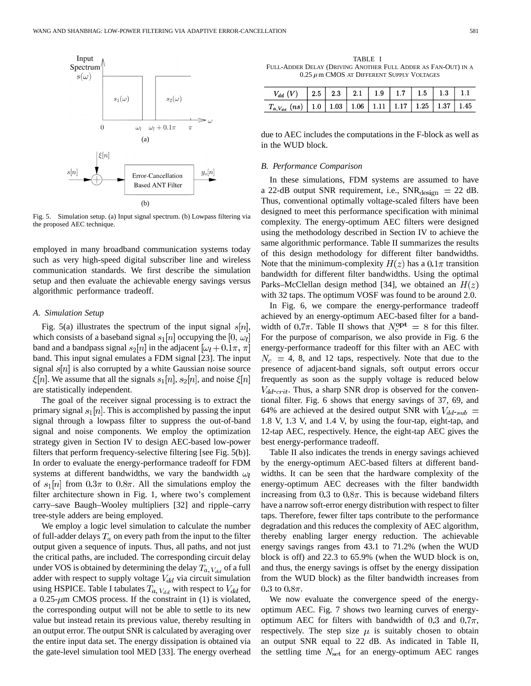

Fig. 5. Simulation setup. (a) Input signal spectrum. (b) Lowpass filtering via the proposed AEC technique.

employed in many broadband communication systems today such as very high-speed digital subscriber line and wireless communication standards. We first describe the simulation setup and then evaluate the achievable energy savings versus algorithmic performance tradeoff.

## *A. Simulation Setup*

Fig. 5(a) illustrates the spectrum of the input signal  $s[n]$ , which consists of a baseband signal  $s_1[n]$  occupying the [0,  $\omega_l$ ] band and a bandpass signal  $s_2[n]$  in the adjacent  $[\omega_l + 0.1\pi, \pi]$ band. This input signal emulates a FDM signal [23]. The input signal  $s[n]$  is also corrupted by a white Gaussian noise source  $\zeta[n]$ . We assume that all the signals  $s_1[n], s_2[n]$ , and noise  $\zeta[n]$ are statistically independent.

The goal of the receiver signal processing is to extract the primary signal  $s_1[n]$ . This is accomplished by passing the input signal through a lowpass filter to suppress the out-of-band signal and noise components. We employ the optimization strategy given in Section IV to design AEC-based low-power filters that perform frequency-selective filtering [see Fig. 5(b)]. In order to evaluate the energy-performance tradeoff for FDM systems at different bandwidths, we vary the bandwidth  $\omega_l$ of  $s_1[n]$  from  $0.3\pi$  to  $0.8\pi$ . All the simulations employ the filter architecture shown in Fig. 1, where two's complement carry–save Baugh–Wooley multipliers [32] and ripple–carry tree-style adders are being employed.

We employ a logic level simulation to calculate the number of full-adder delays  $T_a$  on every path from the input to the filter output given a sequence of inputs. Thus, all paths, and not just the critical paths, are included. The corresponding circuit delay under VOS is obtained by determining the delay  $T_{a, V_{dd}}$  of a full adder with respect to supply voltage  $V_{dd}$  via circuit simulation using HSPICE. Table I tabulates  $T_{a, V_{dd}}$  with respect to  $V_{dd}$  for a 0.25- $\mu$ m CMOS process. If the constraint in (1) is violated, the corresponding output will not be able to settle to its new value but instead retain its previous value, thereby resulting in an output error. The output SNR is calculated by averaging over the entire input data set. The energy dissipation is obtained via the gate-level simulation tool MED [33]. The energy overhead

TABLE I FULL-ADDER DELAY (DRIVING ANOTHER FULL ADDER AS FAN-OUT) IN A  $0.25 \ \mu$ m CMOS AT DIFFERENT SUPPLY VOLTAGES

| $V_{dd}$ (V)   2.5   2.3   2.1   1.9   1.7   1.5   1.3   1.1                |  |  |  |  |
|-----------------------------------------------------------------------------|--|--|--|--|
| $T_{a, V_{dd}}$ (ns)   1.0   1.03   1.06   1.11   1.17   1.25   1.37   1.45 |  |  |  |  |

due to AEC includes the computations in the F-block as well as in the WUD block.

#### *B. Performance Comparison*

In these simulations, FDM systems are assumed to have a 22-dB output SNR requirement, i.e.,  $SNR_{\text{design}} = 22$  dB. Thus, conventional optimally voltage-scaled filters have been designed to meet this performance specification with minimal complexity. The energy-optimum AEC filters were designed using the methodology described in Section IV to achieve the same algorithmic performance. Table II summarizes the results of this design methodology for different filter bandwidths. Note that the minimum-complexity  $H(z)$  has a  $0.1\pi$  transition bandwidth for different filter bandwidths. Using the optimal Parks–McClellan design method [34], we obtained an  $H(z)$ with 32 taps. The optimum VOSF was found to be around 2.0.

In Fig. 6, we compare the energy-performance tradeoff achieved by an energy-optimum AEC-based filter for a bandwidth of 0.7 $\pi$ . Table II shows that  $N_c^{\text{opt}} = 8$  for this filter. For the purpose of comparison, we also provide in Fig. 6 the energy-performance tradeoff for this filter with an AEC with  $N_c = 4$ , 8, and 12 taps, respectively. Note that due to the presence of adjacent-band signals, soft output errors occur frequently as soon as the supply voltage is reduced below  $V_{dd-crit}$ . Thus, a sharp SNR drop is observed for the conventional filter. Fig. 6 shows that energy savings of 37, 69, and 64% are achieved at the desired output SNR with  $V_{dd-sub}$  = 1.8 V, 1.3 V, and 1.4 V, by using the four-tap, eight-tap, and 12-tap AEC, respectively. Hence, the eight-tap AEC gives the best energy-performance tradeoff.

Table II also indicates the trends in energy savings achieved by the energy-optimum AEC-based filters at different bandwidths. It can be seen that the hardware complexity of the energy-optimum AEC decreases with the filter bandwidth increasing from  $0.3$  to  $0.8\pi$ . This is because wideband filters have a narrow soft-error energy distribution with respect to filter taps. Therefore, fewer filter taps contribute to the performance degradation and this reduces the complexity of AEC algorithm, thereby enabling larger energy reduction. The achievable energy savings ranges from 43.1 to 71.2% (when the WUD block is off) and 22.3 to 65.9% (when the WUD block is on, and thus, the energy savings is offset by the energy dissipation from the WUD block) as the filter bandwidth increases from 0.3 to  $0.8\pi$ .

We now evaluate the convergence speed of the energyoptimum AEC. Fig. 7 shows two learning curves of energyoptimum AEC for filters with bandwidth of 0.3 and  $0.7\pi$ , respectively. The step size  $\mu$  is suitably chosen to obtain an output SNR equal to 22 dB. As indicated in Table II, the settling time  $N_{\rm set}$  for an energy-optimum AEC ranges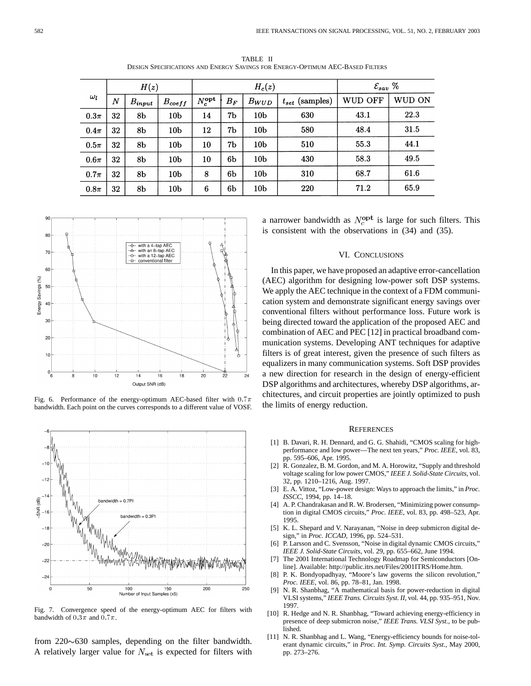|            | H(z)             |                |                 |                    |       | $H_c(z)$        | $\mathcal{E}_{sav}\; \%$ |         |        |
|------------|------------------|----------------|-----------------|--------------------|-------|-----------------|--------------------------|---------|--------|
| $\omega_l$ | $\boldsymbol{N}$ | $B_{input}$    | $B_{coeff}$     | $N_c^{\text{opt}}$ | $B_F$ | $B_{WUD}$       | $t_{set}$ (samples)      | WUD OFF | WUD ON |
| $0.3\pi$   | 32               | 8b             | 10 <sub>b</sub> | 14                 | 7b    | 10 <sub>b</sub> | 630                      | 43.1    | 22.3   |
| $0.4\pi$   | 32               | 8 <sub>b</sub> | 10 <sub>b</sub> | 12                 | 7b    | 10 <sub>b</sub> | 580                      | 48.4    | 31.5   |
| $0.5\pi$   | 32               | 8 <sub>b</sub> | 10 <sub>b</sub> | 10                 | 7b    | 10 <sub>b</sub> | 510                      | 55.3    | 44.1   |
| $0.6\pi$   | 32               | 8b             | 10 <sub>b</sub> | 10                 | 6b    | 10 <sub>b</sub> | 430                      | 58.3    | 49.5   |
| $0.7\pi$   | 32               | 8 <sub>b</sub> | 10 <sub>b</sub> | 8                  | 6b    | 10 <sub>b</sub> | 310                      | 68.7    | 61.6   |
| $0.8\pi$   | 32               | 8 <sub>b</sub> | 10 <sub>b</sub> | 6                  | 6b    | 10 <sub>b</sub> | 220                      | 71.2    | 65.9   |

TABLE II DESIGN SPECIFICATIONS AND ENERGY SAVINGS FOR ENERGY-OPTIMUM AEC-BASED FILTERS



Fig. 6. Performance of the energy-optimum AEC-based filter with  $0.7\pi$ bandwidth. Each point on the curves corresponds to a different value of VOSF.



Fig. 7. Convergence speed of the energy-optimum AEC for filters with bandwidth of  $0.3\pi$  and  $0.7\pi$ .

from  $220 \sim 630$  samples, depending on the filter bandwidth. A relatively larger value for  $N_{\text{set}}$  is expected for filters with a narrower bandwidth as  $N_c^{\text{opt}}$  is large for such filters. This is consistent with the observations in (34) and (35).

#### VI. CONCLUSIONS

In this paper, we have proposed an adaptive error-cancellation (AEC) algorithm for designing low-power soft DSP systems. We apply the AEC technique in the context of a FDM communication system and demonstrate significant energy savings over conventional filters without performance loss. Future work is being directed toward the application of the proposed AEC and combination of AEC and PEC [12] in practical broadband communication systems. Developing ANT techniques for adaptive filters is of great interest, given the presence of such filters as equalizers in many communication systems. Soft DSP provides a new direction for research in the design of energy-efficient DSP algorithms and architectures, whereby DSP algorithms, architectures, and circuit properties are jointly optimized to push the limits of energy reduction.

#### **REFERENCES**

- [1] B. Davari, R. H. Dennard, and G. G. Shahidi, "CMOS scaling for highperformance and low power—The next ten years," *Proc. IEEE*, vol. 83, pp. 595–606, Apr. 1995.
- [2] R. Gonzalez, B. M. Gordon, and M. A. Horowitz, "Supply and threshold voltage scaling for low power CMOS," *IEEE J. Solid-State Circuits*, vol. 32, pp. 1210–1216, Aug. 1997.
- [3] E. A. Vittoz, "Low-power design: Ways to approach the limits," in *Proc. ISSCC*, 1994, pp. 14–18.
- [4] A. P. Chandrakasan and R. W. Brodersen, "Minimizing power consumption in digital CMOS circuits," *Proc. IEEE*, vol. 83, pp. 498–523, Apr. 1995.
- [5] K. L. Shepard and V. Narayanan, "Noise in deep submicron digital design," in *Proc. ICCAD*, 1996, pp. 524–531.
- P. Larsson and C. Svensson, "Noise in digital dynamic CMOS circuits," *IEEE J. Solid-State Circuits*, vol. 29, pp. 655–662, June 1994.
- [7] The 2001 International Technology Roadmap for Semiconductors [Online]. Available: http://public.itrs.net/Files/2001ITRS/Home.htm.
- [8] P. K. Bondyopadhyay, "Moore's law governs the silicon revolution," *Proc. IEEE*, vol. 86, pp. 78–81, Jan. 1998.
- [9] N. R. Shanbhag, "A mathematical basis for power-reduction in digital VLSI systems," *IEEE Trans. Circuits Syst. II*, vol. 44, pp. 935–951, Nov. 1997.
- [10] R. Hedge and N. R. Shanbhag, "Toward achieving energy-efficiency in presence of deep submicron noise," *IEEE Trans. VLSI Syst.*, to be published.
- [11] N. R. Shanbhag and L. Wang, "Energy-efficiency bounds for noise-tolerant dynamic circuits," in *Proc. Int. Symp. Circuits Syst.*, May 2000, pp. 273–276.